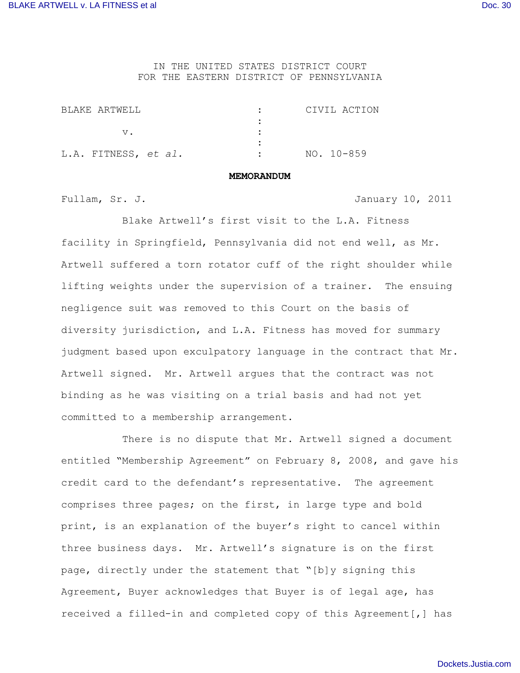IN THE UNITED STATES DISTRICT COURT FOR THE EASTERN DISTRICT OF PENNSYLVANIA

| RIAKE ARTWEIL        | CIVIL ACTION |
|----------------------|--------------|
|                      |              |
|                      |              |
|                      |              |
| L.A. FITNESS, et al. | NO. 10-859   |

## **MEMORANDUM**

Fullam, Sr. J. January 10, 2011

Blake Artwell's first visit to the L.A. Fitness facility in Springfield, Pennsylvania did not end well, as Mr. Artwell suffered a torn rotator cuff of the right shoulder while lifting weights under the supervision of a trainer. The ensuing negligence suit was removed to this Court on the basis of diversity jurisdiction, and L.A. Fitness has moved for summary judgment based upon exculpatory language in the contract that Mr. Artwell signed. Mr. Artwell argues that the contract was not binding as he was visiting on a trial basis and had not yet committed to a membership arrangement.

There is no dispute that Mr. Artwell signed a document entitled "Membership Agreement" on February 8, 2008, and gave his credit card to the defendant's representative. The agreement comprises three pages; on the first, in large type and bold print, is an explanation of the buyer's right to cancel within three business days. Mr. Artwell's signature is on the first page, directly under the statement that "[b]y signing this Agreement, Buyer acknowledges that Buyer is of legal age, has received a filled-in and completed copy of this Agreement[,] has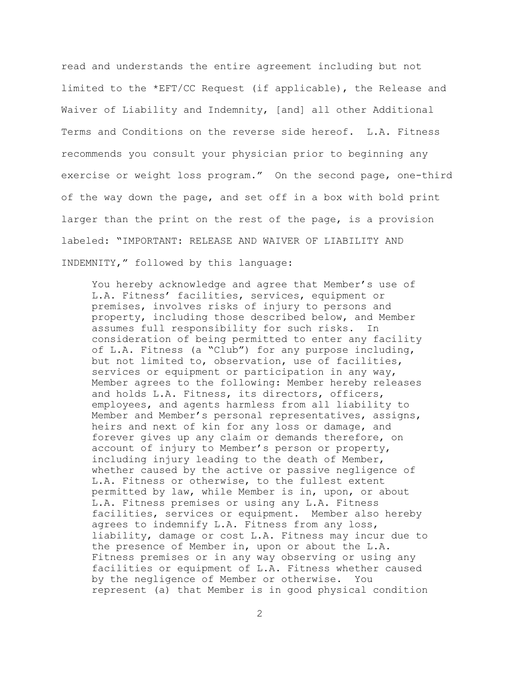read and understands the entire agreement including but not limited to the \*EFT/CC Request (if applicable), the Release and Waiver of Liability and Indemnity, [and] all other Additional Terms and Conditions on the reverse side hereof. L.A. Fitness recommends you consult your physician prior to beginning any exercise or weight loss program." On the second page, one-third of the way down the page, and set off in a box with bold print larger than the print on the rest of the page, is a provision labeled: "IMPORTANT: RELEASE AND WAIVER OF LIABILITY AND INDEMNITY," followed by this language:

You hereby acknowledge and agree that Member's use of L.A. Fitness' facilities, services, equipment or premises, involves risks of injury to persons and property, including those described below, and Member assumes full responsibility for such risks. In consideration of being permitted to enter any facility of L.A. Fitness (a "Club") for any purpose including, but not limited to, observation, use of facilities, services or equipment or participation in any way, Member agrees to the following: Member hereby releases and holds L.A. Fitness, its directors, officers, employees, and agents harmless from all liability to Member and Member's personal representatives, assigns, heirs and next of kin for any loss or damage, and forever gives up any claim or demands therefore, on account of injury to Member's person or property, including injury leading to the death of Member, whether caused by the active or passive negligence of L.A. Fitness or otherwise, to the fullest extent permitted by law, while Member is in, upon, or about L.A. Fitness premises or using any L.A. Fitness facilities, services or equipment. Member also hereby agrees to indemnify L.A. Fitness from any loss, liability, damage or cost L.A. Fitness may incur due to the presence of Member in, upon or about the L.A. Fitness premises or in any way observing or using any facilities or equipment of L.A. Fitness whether caused by the negligence of Member or otherwise. You represent (a) that Member is in good physical condition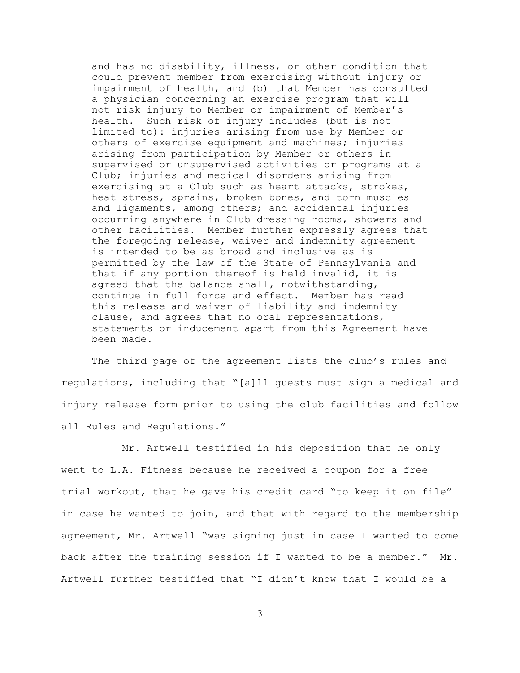and has no disability, illness, or other condition that could prevent member from exercising without injury or impairment of health, and (b) that Member has consulted a physician concerning an exercise program that will not risk injury to Member or impairment of Member's health. Such risk of injury includes (but is not limited to): injuries arising from use by Member or others of exercise equipment and machines; injuries arising from participation by Member or others in supervised or unsupervised activities or programs at a Club; injuries and medical disorders arising from exercising at a Club such as heart attacks, strokes, heat stress, sprains, broken bones, and torn muscles and ligaments, among others; and accidental injuries occurring anywhere in Club dressing rooms, showers and other facilities. Member further expressly agrees that the foregoing release, waiver and indemnity agreement is intended to be as broad and inclusive as is permitted by the law of the State of Pennsylvania and that if any portion thereof is held invalid, it is agreed that the balance shall, notwithstanding, continue in full force and effect. Member has read this release and waiver of liability and indemnity clause, and agrees that no oral representations, statements or inducement apart from this Agreement have been made.

The third page of the agreement lists the club's rules and regulations, including that "[a]ll guests must sign a medical and injury release form prior to using the club facilities and follow all Rules and Regulations."

Mr. Artwell testified in his deposition that he only went to L.A. Fitness because he received a coupon for a free trial workout, that he gave his credit card "to keep it on file" in case he wanted to join, and that with regard to the membership agreement, Mr. Artwell "was signing just in case I wanted to come back after the training session if I wanted to be a member." Mr. Artwell further testified that "I didn't know that I would be a

3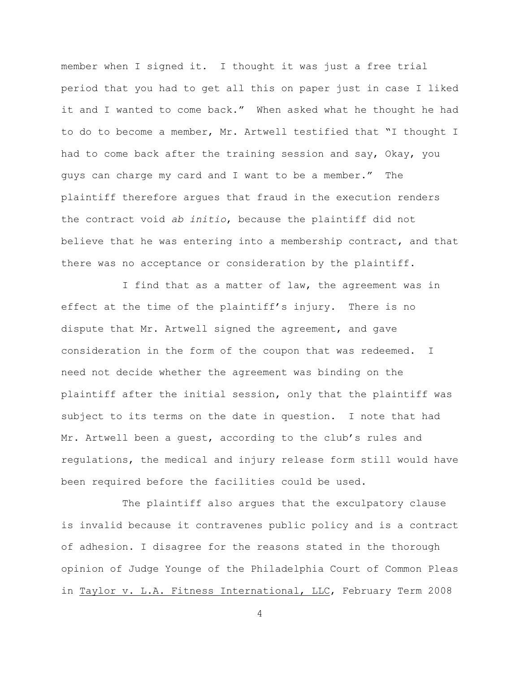member when I signed it. I thought it was just a free trial period that you had to get all this on paper just in case I liked it and I wanted to come back." When asked what he thought he had to do to become a member, Mr. Artwell testified that "I thought I had to come back after the training session and say, Okay, you guys can charge my card and I want to be a member." The plaintiff therefore argues that fraud in the execution renders the contract void *ab initio*, because the plaintiff did not believe that he was entering into a membership contract, and that there was no acceptance or consideration by the plaintiff.

I find that as a matter of law, the agreement was in effect at the time of the plaintiff's injury. There is no dispute that Mr. Artwell signed the agreement, and gave consideration in the form of the coupon that was redeemed. I need not decide whether the agreement was binding on the plaintiff after the initial session, only that the plaintiff was subject to its terms on the date in question. I note that had Mr. Artwell been a guest, according to the club's rules and regulations, the medical and injury release form still would have been required before the facilities could be used.

The plaintiff also argues that the exculpatory clause is invalid because it contravenes public policy and is a contract of adhesion. I disagree for the reasons stated in the thorough opinion of Judge Younge of the Philadelphia Court of Common Pleas in Taylor v. L.A. Fitness International, LLC, February Term 2008

4